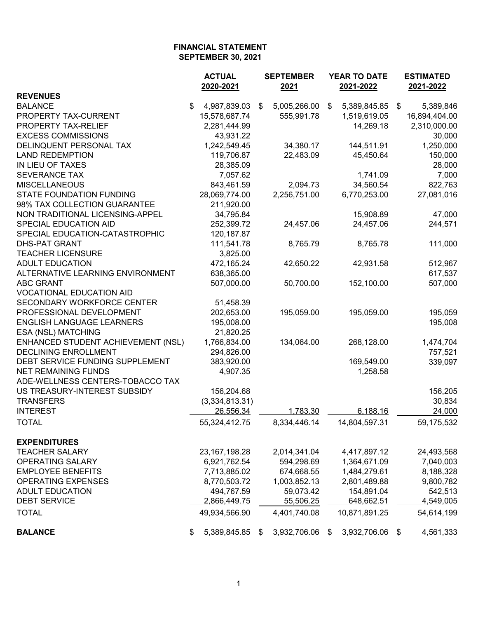|                                    | <b>ACTUAL</b>                | <b>SEPTEMBER</b>   | YEAR TO DATE               |      | <b>ESTIMATED</b> |
|------------------------------------|------------------------------|--------------------|----------------------------|------|------------------|
|                                    | 2020-2021                    | 2021               | 2021-2022                  |      | 2021-2022        |
| <b>REVENUES</b>                    |                              |                    |                            |      |                  |
| <b>BALANCE</b>                     | \$<br>4,987,839.03           | \$<br>5,005,266.00 | \$<br>5,389,845.85         | - \$ | 5,389,846        |
| PROPERTY TAX-CURRENT               | 15,578,687.74                | 555,991.78         | 1,519,619.05               |      | 16,894,404.00    |
| PROPERTY TAX-RELIEF                | 2,281,444.99                 |                    | 14,269.18                  |      | 2,310,000.00     |
| <b>EXCESS COMMISSIONS</b>          | 43,931.22                    |                    |                            |      | 30,000           |
| DELINQUENT PERSONAL TAX            | 1,242,549.45                 | 34,380.17          | 144,511.91                 |      | 1,250,000        |
| <b>LAND REDEMPTION</b>             | 119,706.87                   | 22,483.09          | 45,450.64                  |      | 150,000          |
| IN LIEU OF TAXES                   | 28,385.09                    |                    |                            |      | 28,000           |
| <b>SEVERANCE TAX</b>               | 7,057.62                     |                    | 1,741.09                   |      | 7,000            |
| <b>MISCELLANEOUS</b>               | 843,461.59                   | 2,094.73           | 34,560.54                  |      | 822,763          |
| <b>STATE FOUNDATION FUNDING</b>    | 28,069,774.00                | 2,256,751.00       | 6,770,253.00               |      | 27,081,016       |
| 98% TAX COLLECTION GUARANTEE       | 211,920.00                   |                    |                            |      |                  |
| NON TRADITIONAL LICENSING-APPEL    | 34,795.84                    |                    | 15,908.89                  |      | 47,000           |
| SPECIAL EDUCATION AID              | 252,399.72                   | 24,457.06          | 24,457.06                  |      | 244,571          |
| SPECIAL EDUCATION-CATASTROPHIC     | 120, 187.87                  |                    |                            |      |                  |
| <b>DHS-PAT GRANT</b>               | 111,541.78                   | 8,765.79           | 8,765.78                   |      | 111,000          |
| <b>TEACHER LICENSURE</b>           | 3,825.00                     |                    |                            |      |                  |
| <b>ADULT EDUCATION</b>             | 472,165.24                   | 42,650.22          | 42,931.58                  |      | 512,967          |
| ALTERNATIVE LEARNING ENVIRONMENT   | 638,365.00                   |                    |                            |      | 617,537          |
| <b>ABC GRANT</b>                   | 507,000.00                   | 50,700.00          | 152,100.00                 |      | 507,000          |
| <b>VOCATIONAL EDUCATION AID</b>    |                              |                    |                            |      |                  |
| SECONDARY WORKFORCE CENTER         | 51,458.39                    |                    |                            |      |                  |
| PROFESSIONAL DEVELOPMENT           | 202,653.00                   | 195,059.00         | 195,059.00                 |      | 195,059          |
| <b>ENGLISH LANGUAGE LEARNERS</b>   | 195,008.00                   |                    |                            |      | 195,008          |
| ESA (NSL) MATCHING                 | 21,820.25                    |                    |                            |      |                  |
| ENHANCED STUDENT ACHIEVEMENT (NSL) | 1,766,834.00                 | 134,064.00         | 268,128.00                 |      | 1,474,704        |
| <b>DECLINING ENROLLMENT</b>        | 294,826.00                   |                    |                            |      | 757,521          |
| DEBT SERVICE FUNDING SUPPLEMENT    | 383,920.00                   |                    | 169,549.00                 |      | 339,097          |
| <b>NET REMAINING FUNDS</b>         | 4,907.35                     |                    | 1,258.58                   |      |                  |
| ADE-WELLNESS CENTERS-TOBACCO TAX   |                              |                    |                            |      |                  |
| US TREASURY-INTEREST SUBSIDY       | 156,204.68                   |                    |                            |      | 156,205          |
| <b>TRANSFERS</b>                   | (3,334,813.31)               |                    |                            |      | 30,834           |
| <b>INTEREST</b>                    | 26,556.34                    | 1,783.30           | 6,188.16                   |      | 24,000           |
| <b>TOTAL</b>                       | 55,324,412.75                | 8,334,446.14       | 14,804,597.31              |      | 59,175,532       |
|                                    |                              |                    |                            |      |                  |
| <b>EXPENDITURES</b>                |                              |                    |                            |      |                  |
| <b>TEACHER SALARY</b>              | 23, 167, 198. 28             | 2,014,341.04       | 4,417,897.12               |      | 24,493,568       |
| <b>OPERATING SALARY</b>            | 6,921,762.54                 | 594,298.69         | 1,364,671.09               |      | 7,040,003        |
| <b>EMPLOYEE BENEFITS</b>           |                              | 674,668.55         |                            |      |                  |
| <b>OPERATING EXPENSES</b>          | 7,713,885.02<br>8,770,503.72 | 1,003,852.13       | 1,484,279.61               |      | 8,188,328        |
| <b>ADULT EDUCATION</b>             | 494,767.59                   | 59,073.42          | 2,801,489.88<br>154,891.04 |      | 9,800,782        |
|                                    |                              |                    |                            |      | 542,513          |
| <b>DEBT SERVICE</b>                | 2,866,449.75                 | 55,506.25          | 648,662.51                 |      | 4,549,005        |
| <b>TOTAL</b>                       | 49,934,566.90                | 4,401,740.08       | 10,871,891.25              |      | 54,614,199       |
| <b>BALANCE</b>                     | 5,389,845.85                 | \$<br>3,932,706.06 | \$<br>3,932,706.06         |      | 4,561,333        |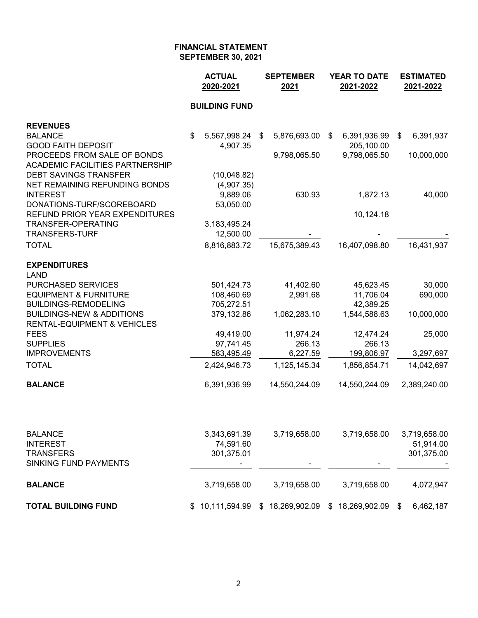|                                                       | <b>ACTUAL</b><br>2020-2021 | <b>SEPTEMBER</b><br>2021 | <b>YEAR TO DATE</b><br>2021-2022 | <b>ESTIMATED</b><br>2021-2022 |
|-------------------------------------------------------|----------------------------|--------------------------|----------------------------------|-------------------------------|
|                                                       | <b>BUILDING FUND</b>       |                          |                                  |                               |
| <b>REVENUES</b>                                       |                            |                          |                                  |                               |
| <b>BALANCE</b>                                        | \$<br>5,567,998.24         | 5,876,693.00<br>\$       | \$<br>6,391,936.99               | 6,391,937<br>\$               |
| <b>GOOD FAITH DEPOSIT</b>                             | 4,907.35                   |                          | 205,100.00                       |                               |
| PROCEEDS FROM SALE OF BONDS                           |                            | 9,798,065.50             | 9,798,065.50                     | 10,000,000                    |
| <b>ACADEMIC FACILITIES PARTNERSHIP</b>                |                            |                          |                                  |                               |
| <b>DEBT SAVINGS TRANSFER</b>                          | (10,048.82)                |                          |                                  |                               |
| NET REMAINING REFUNDING BONDS<br><b>INTEREST</b>      | (4,907.35)<br>9,889.06     | 630.93                   | 1,872.13                         | 40,000                        |
| DONATIONS-TURF/SCOREBOARD                             | 53,050.00                  |                          |                                  |                               |
| REFUND PRIOR YEAR EXPENDITURES                        |                            |                          | 10,124.18                        |                               |
| <b>TRANSFER-OPERATING</b>                             | 3,183,495.24               |                          |                                  |                               |
| <b>TRANSFERS-TURF</b>                                 | 12,500.00                  |                          |                                  |                               |
| <b>TOTAL</b>                                          | 8,816,883.72               | 15,675,389.43            | 16,407,098.80                    | 16,431,937                    |
| <b>EXPENDITURES</b>                                   |                            |                          |                                  |                               |
| <b>LAND</b>                                           |                            |                          |                                  |                               |
| PURCHASED SERVICES                                    | 501,424.73                 | 41,402.60                | 45,623.45                        | 30,000                        |
| <b>EQUIPMENT &amp; FURNITURE</b>                      | 108,460.69                 | 2,991.68                 | 11,706.04                        | 690,000                       |
| <b>BUILDINGS-REMODELING</b>                           | 705,272.51                 |                          | 42,389.25                        |                               |
| <b>BUILDINGS-NEW &amp; ADDITIONS</b>                  | 379,132.86                 | 1,062,283.10             | 1,544,588.63                     | 10,000,000                    |
| <b>RENTAL-EQUIPMENT &amp; VEHICLES</b><br><b>FEES</b> | 49,419.00                  | 11,974.24                | 12,474.24                        | 25,000                        |
| <b>SUPPLIES</b>                                       | 97,741.45                  | 266.13                   | 266.13                           |                               |
| <b>IMPROVEMENTS</b>                                   | 583,495.49                 | 6,227.59                 | 199,806.97                       | 3,297,697                     |
| <b>TOTAL</b>                                          | 2,424,946.73               | 1,125,145.34             | 1,856,854.71                     | 14,042,697                    |
| <b>BALANCE</b>                                        | 6,391,936.99               | 14,550,244.09            | 14,550,244.09                    | 2,389,240.00                  |
|                                                       |                            |                          |                                  |                               |
| <b>BALANCE</b>                                        | 3,343,691.39               | 3,719,658.00             | 3,719,658.00                     | 3,719,658.00                  |
| <b>INTEREST</b>                                       | 74,591.60                  |                          |                                  | 51,914.00                     |
| <b>TRANSFERS</b>                                      | 301,375.01                 |                          |                                  | 301,375.00                    |
| <b>SINKING FUND PAYMENTS</b>                          |                            |                          |                                  |                               |
| <b>BALANCE</b>                                        | 3,719,658.00               | 3,719,658.00             | 3,719,658.00                     | 4,072,947                     |
| <b>TOTAL BUILDING FUND</b>                            | 10,111,594.99              | 18,269,902.09<br>\$      | 18,269,902.09<br>\$              | \$<br>6,462,187               |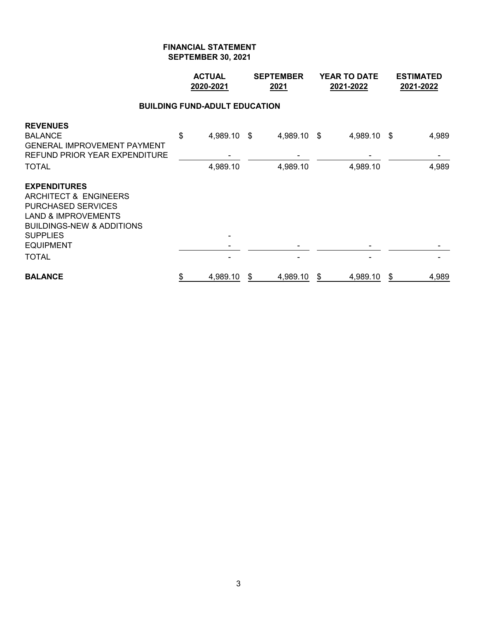|                                                                                                                                                                                                            | <b>ACTUAL</b><br>2020-2021 |                                      | <b>SEPTEMBER</b><br>2021 | <b>YEAR TO DATE</b><br>2021-2022 |                         | <b>ESTIMATED</b><br>2021-2022 |
|------------------------------------------------------------------------------------------------------------------------------------------------------------------------------------------------------------|----------------------------|--------------------------------------|--------------------------|----------------------------------|-------------------------|-------------------------------|
|                                                                                                                                                                                                            |                            | <b>BUILDING FUND-ADULT EDUCATION</b> |                          |                                  |                         |                               |
| <b>REVENUES</b><br><b>BALANCE</b><br><b>GENERAL IMPROVEMENT PAYMENT</b><br><b>REFUND PRIOR YEAR EXPENDITURE</b><br><b>TOTAL</b>                                                                            | \$                         | 4,989.10 \$<br>4,989.10              | 4,989.10 \$<br>4,989.10  |                                  | 4,989.10 \$<br>4,989.10 | 4,989<br>4,989                |
| <b>EXPENDITURES</b><br>ARCHITECT & ENGINEERS<br><b>PURCHASED SERVICES</b><br><b>LAND &amp; IMPROVEMENTS</b><br><b>BUILDINGS-NEW &amp; ADDITIONS</b><br><b>SUPPLIES</b><br><b>EQUIPMENT</b><br><b>TOTAL</b> |                            |                                      |                          |                                  |                         |                               |
| <b>BALANCE</b>                                                                                                                                                                                             | \$                         | 4,989.10                             | \$<br>4,989.10           | \$                               | 4,989.10                | \$<br>4,989                   |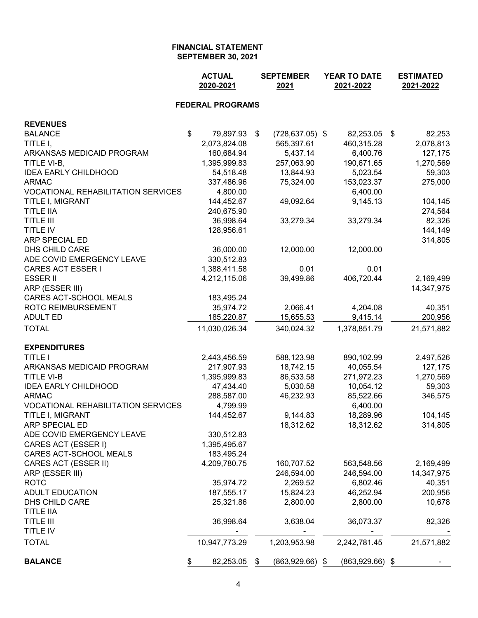| 2020-2021<br>2021                                                               | YEAR TO DATE<br>2021-2022 | <b>ESTIMATED</b><br>2021-2022 |
|---------------------------------------------------------------------------------|---------------------------|-------------------------------|
| <b>FEDERAL PROGRAMS</b>                                                         |                           |                               |
| <b>REVENUES</b>                                                                 |                           |                               |
| $\sqrt[6]{\frac{1}{2}}$<br><b>BALANCE</b><br>79,897.93 \$<br>$(728, 637.05)$ \$ | 82,253.05 \$              | 82,253                        |
| TITLE I,<br>2,073,824.08<br>565,397.61                                          | 460,315.28                | 2,078,813                     |
| ARKANSAS MEDICAID PROGRAM<br>160,684.94<br>5,437.14                             | 6,400.76                  | 127,175                       |
| 1,395,999.83<br>257,063.90<br>TITLE VI-B,                                       | 190,671.65                | 1,270,569                     |
| <b>IDEA EARLY CHILDHOOD</b><br>54,518.48<br>13,844.93                           | 5,023.54                  | 59,303                        |
| 337,486.96<br>75,324.00<br>ARMAC                                                | 153,023.37                | 275,000                       |
| <b>VOCATIONAL REHABILITATION SERVICES</b><br>4,800.00                           | 6,400.00                  |                               |
| 144,452.67<br>TITLE I, MIGRANT<br>49,092.64                                     | 9,145.13                  | 104,145                       |
| <b>TITLE IIA</b><br>240,675.90                                                  |                           | 274,564                       |
| TITLE III<br>36,998.64<br>33,279.34                                             | 33,279.34                 | 82,326                        |
| TITLE IV<br>128,956.61                                                          |                           | 144,149                       |
| ARP SPECIAL ED                                                                  |                           | 314,805                       |
| DHS CHILD CARE<br>36,000.00<br>12,000.00                                        | 12,000.00                 |                               |
| ADE COVID EMERGENCY LEAVE<br>330,512.83                                         |                           |                               |
| CARES ACT ESSER I<br>1,388,411.58<br>0.01                                       | 0.01                      |                               |
| <b>ESSER II</b><br>4,212,115.06<br>39,499.86                                    | 406,720.44                | 2,169,499                     |
| ARP (ESSER III)                                                                 |                           | 14,347,975                    |
| CARES ACT-SCHOOL MEALS<br>183,495.24                                            |                           |                               |
| ROTC REIMBURSEMENT<br>2,066.41<br>35,974.72                                     | 4,204.08                  | 40,351                        |
| <b>ADULT ED</b><br>185,220.87<br>15,655.53                                      | 9,415.14                  | 200,956                       |
| 11,030,026.34<br><b>TOTAL</b><br>340,024.32                                     | 1,378,851.79              | 21,571,882                    |
|                                                                                 |                           |                               |
| <b>EXPENDITURES</b>                                                             |                           |                               |
| <b>TITLE I</b><br>588,123.98<br>2,443,456.59                                    | 890,102.99                | 2,497,526                     |
| ARKANSAS MEDICAID PROGRAM<br>217,907.93<br>18,742.15                            | 40,055.54                 | 127,175                       |
| TITLE VI-B<br>1,395,999.83<br>86,533.58                                         | 271,972.23                | 1,270,569                     |
| <b>IDEA EARLY CHILDHOOD</b><br>47,434.40<br>5,030.58                            | 10,054.12                 | 59,303                        |
| <b>ARMAC</b><br>46,232.93<br>288,587.00                                         | 85,522.66                 | 346,575                       |
| <b>VOCATIONAL REHABILITATION SERVICES</b><br>4,799.99                           | 6,400.00                  |                               |
| TITLE I, MIGRANT<br>144,452.67<br>9,144.83                                      | 18,289.96                 | 104,145                       |
| ARP SPECIAL ED<br>18,312.62                                                     | 18,312.62                 | 314,805                       |
| ADE COVID EMERGENCY LEAVE<br>330,512.83                                         |                           |                               |
| CARES ACT (ESSER I)<br>1,395,495.67                                             |                           |                               |
| CARES ACT-SCHOOL MEALS<br>183,495.24                                            |                           |                               |
| CARES ACT (ESSER II)<br>4,209,780.75<br>160,707.52                              | 563,548.56                | 2,169,499                     |
| ARP (ESSER III)<br>246,594.00                                                   | 246,594.00                | 14,347,975                    |
| 2,269.52<br>ROTC<br>35,974.72                                                   | 6,802.46                  | 40,351                        |
| <b>ADULT EDUCATION</b><br>187,555.17<br>15,824.23                               | 46,252.94                 | 200,956                       |
| <b>DHS CHILD CARE</b><br>25,321.86<br>2,800.00                                  | 2,800.00                  | 10,678                        |
| <b>TITLE IIA</b>                                                                |                           |                               |
| TITLE III<br>36,998.64<br>3,638.04                                              | 36,073.37                 | 82,326                        |
| TITLE IV                                                                        |                           |                               |
| 1,203,953.98<br><b>TOTAL</b><br>10,947,773.29                                   | 2,242,781.45              | 21,571,882                    |
| <b>BALANCE</b><br>\$<br>82,253.05<br>$(863,929.66)$ \$<br>\$                    | $(863,929.66)$ \$         |                               |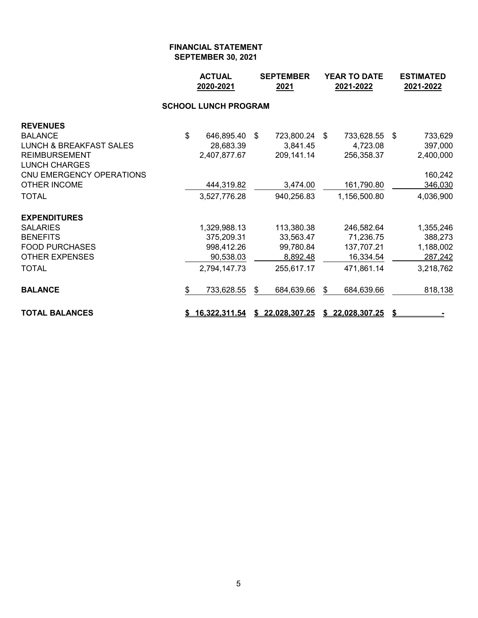|                                    |              | <b>ACTUAL</b><br>2020-2021  | <b>SEPTEMBER</b><br>2021 | <b>YEAR TO DATE</b><br>2021-2022 | <b>ESTIMATED</b><br>2021-2022 |
|------------------------------------|--------------|-----------------------------|--------------------------|----------------------------------|-------------------------------|
|                                    |              | <b>SCHOOL LUNCH PROGRAM</b> |                          |                                  |                               |
| <b>REVENUES</b>                    |              |                             |                          |                                  |                               |
| <b>BALANCE</b>                     | $\mathbb{S}$ | 646,895.40                  | \$<br>723,800.24         | \$<br>733,628.55                 | \$<br>733,629                 |
| <b>LUNCH &amp; BREAKFAST SALES</b> |              | 28,683.39                   | 3,841.45                 | 4,723.08                         | 397,000                       |
| <b>REIMBURSEMENT</b>               |              | 2,407,877.67                | 209,141.14               | 256,358.37                       | 2,400,000                     |
| <b>LUNCH CHARGES</b>               |              |                             |                          |                                  |                               |
| CNU EMERGENCY OPERATIONS           |              |                             |                          |                                  | 160,242                       |
| <b>OTHER INCOME</b>                |              | 444,319.82                  | 3,474.00                 | 161,790.80                       | 346,030                       |
| <b>TOTAL</b>                       |              | 3,527,776.28                | 940,256.83               | 1,156,500.80                     | 4,036,900                     |
| <b>EXPENDITURES</b>                |              |                             |                          |                                  |                               |
| <b>SALARIES</b>                    |              | 1,329,988.13                | 113,380.38               | 246,582.64                       | 1,355,246                     |
| <b>BENEFITS</b>                    |              | 375,209.31                  | 33,563.47                | 71,236.75                        | 388,273                       |
| <b>FOOD PURCHASES</b>              |              | 998,412.26                  | 99,780.84                | 137,707.21                       | 1,188,002                     |
| <b>OTHER EXPENSES</b>              |              | 90,538.03                   | 8,892.48                 | 16,334.54                        | 287,242                       |
| <b>TOTAL</b>                       |              | 2,794,147.73                | 255,617.17               | 471,861.14                       | 3,218,762                     |
| <b>BALANCE</b>                     | \$           | 733,628.55                  | \$<br>684,639.66         | \$<br>684,639.66                 | 818,138                       |
| <b>TOTAL BALANCES</b>              |              | <u>16,322,311.54</u>        | \$22,028,307.25          | \$22,028,307.25                  | \$                            |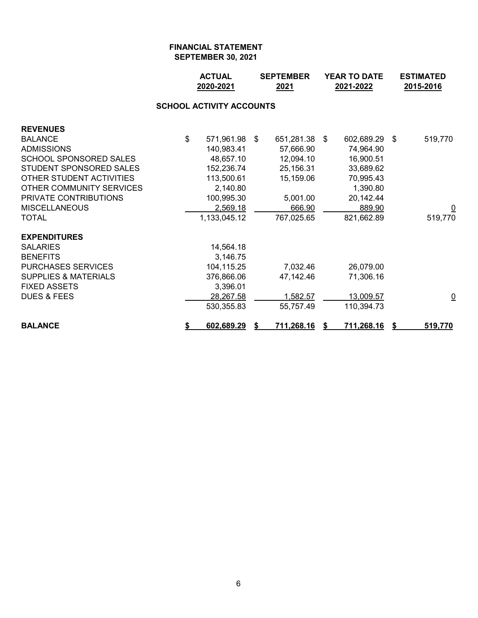|                                 | <b>ACTUAL</b><br>2020-2021      | <b>SEPTEMBER</b><br>2021 |     | <b>YEAR TO DATE</b><br>2021-2022 |     | <b>ESTIMATED</b><br>2015-2016 |
|---------------------------------|---------------------------------|--------------------------|-----|----------------------------------|-----|-------------------------------|
|                                 | <b>SCHOOL ACTIVITY ACCOUNTS</b> |                          |     |                                  |     |                               |
| <b>REVENUES</b>                 |                                 |                          |     |                                  |     |                               |
| <b>BALANCE</b>                  | \$<br>571,961.98 \$             | 651,281.38               | -\$ | 602,689.29                       | -\$ | 519,770                       |
| <b>ADMISSIONS</b>               | 140,983.41                      | 57,666.90                |     | 74,964.90                        |     |                               |
| <b>SCHOOL SPONSORED SALES</b>   | 48,657.10                       | 12,094.10                |     | 16,900.51                        |     |                               |
| STUDENT SPONSORED SALES         | 152,236.74                      | 25,156.31                |     | 33,689.62                        |     |                               |
| OTHER STUDENT ACTIVITIES        | 113,500.61                      | 15,159.06                |     | 70,995.43                        |     |                               |
| OTHER COMMUNITY SERVICES        | 2,140.80                        |                          |     | 1,390.80                         |     |                               |
| PRIVATE CONTRIBUTIONS           | 100,995.30                      | 5,001.00                 |     | 20,142.44                        |     |                               |
| <b>MISCELLANEOUS</b>            | 2,569.18                        | 666.90                   |     | 889.90                           |     |                               |
| <b>TOTAL</b>                    | 1,133,045.12                    | 767,025.65               |     | 821,662.89                       |     | 519,770                       |
| <b>EXPENDITURES</b>             |                                 |                          |     |                                  |     |                               |
| <b>SALARIES</b>                 | 14,564.18                       |                          |     |                                  |     |                               |
| <b>BENEFITS</b>                 | 3,146.75                        |                          |     |                                  |     |                               |
| <b>PURCHASES SERVICES</b>       | 104,115.25                      | 7,032.46                 |     | 26,079.00                        |     |                               |
| <b>SUPPLIES &amp; MATERIALS</b> | 376,866.06                      | 47,142.46                |     | 71,306.16                        |     |                               |
| <b>FIXED ASSETS</b>             | 3,396.01                        |                          |     |                                  |     |                               |
| <b>DUES &amp; FEES</b>          | 28,267.58                       | 1,582.57                 |     | 13,009.57                        |     | $\overline{\mathsf{C}}$       |
|                                 | 530,355.83                      | 55,757.49                |     | 110,394.73                       |     |                               |
| <b>BALANCE</b>                  | \$<br>602,689.29                | 711,268.16               | S   | 711,268.16                       |     | 519,770                       |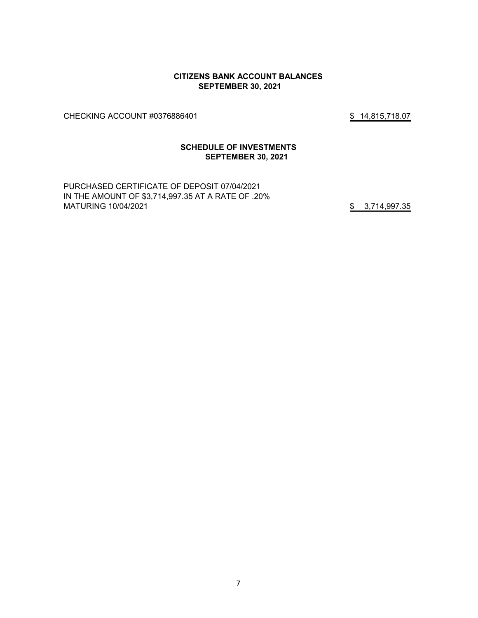#### **CITIZENS BANK ACCOUNT BALANCES SEPTEMBER 30, 2021**

CHECKING ACCOUNT #0376886401 \$ 14,815,718.07

#### **SCHEDULE OF INVESTMENTS SEPTEMBER 30, 2021**

PURCHASED CERTIFICATE OF DEPOSIT 07/04/2021 IN THE AMOUNT OF \$3,714,997.35 AT A RATE OF .20% MATURING 10/04/2021 35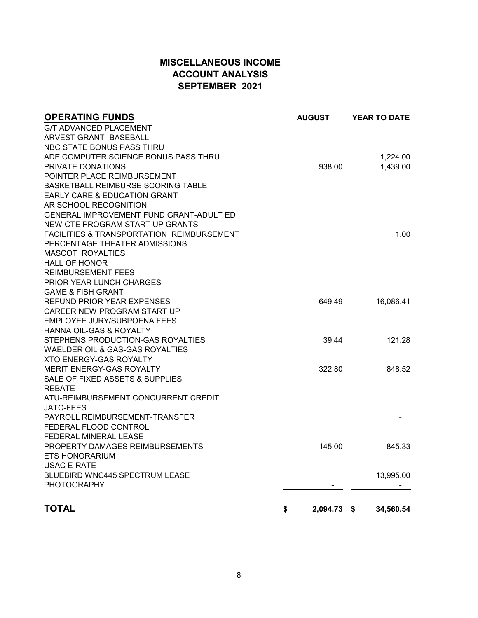# **MISCELLANEOUS INCOME ACCOUNT ANALYSIS SEPTEMBER 2021**

| <b>OPERATING FUNDS</b>                                   | <b>AUGUST</b> | <b>YEAR TO DATE</b> |
|----------------------------------------------------------|---------------|---------------------|
| <b>G/T ADVANCED PLACEMENT</b>                            |               |                     |
| ARVEST GRANT - BASEBALL                                  |               |                     |
| NBC STATE BONUS PASS THRU                                |               |                     |
| ADE COMPUTER SCIENCE BONUS PASS THRU                     |               | 1,224.00            |
| PRIVATE DONATIONS                                        | 938.00        | 1,439.00            |
| POINTER PLACE REIMBURSEMENT                              |               |                     |
| BASKETBALL REIMBURSE SCORING TABLE                       |               |                     |
| EARLY CARE & EDUCATION GRANT                             |               |                     |
| AR SCHOOL RECOGNITION                                    |               |                     |
| GENERAL IMPROVEMENT FUND GRANT-ADULT ED                  |               |                     |
| NEW CTE PROGRAM START UP GRANTS                          |               |                     |
| <b>FACILITIES &amp; TRANSPORTATION REIMBURSEMENT</b>     |               | 1.00                |
| PERCENTAGE THEATER ADMISSIONS                            |               |                     |
| <b>MASCOT ROYALTIES</b>                                  |               |                     |
| <b>HALL OF HONOR</b>                                     |               |                     |
| <b>REIMBURSEMENT FEES</b>                                |               |                     |
| <b>PRIOR YEAR LUNCH CHARGES</b>                          |               |                     |
| <b>GAME &amp; FISH GRANT</b>                             |               |                     |
| <b>REFUND PRIOR YEAR EXPENSES</b>                        | 649.49        | 16,086.41           |
| CAREER NEW PROGRAM START UP                              |               |                     |
| EMPLOYEE JURY/SUBPOENA FEES                              |               |                     |
| HANNA OIL-GAS & ROYALTY                                  |               |                     |
| STEPHENS PRODUCTION-GAS ROYALTIES                        | 39.44         | 121.28              |
| WAELDER OIL & GAS-GAS ROYALTIES                          |               |                     |
| <b>XTO ENERGY-GAS ROYALTY</b>                            |               |                     |
| MERIT ENERGY-GAS ROYALTY                                 | 322.80        | 848.52              |
| SALE OF FIXED ASSETS & SUPPLIES                          |               |                     |
| <b>REBATE</b>                                            |               |                     |
| ATU-REIMBURSEMENT CONCURRENT CREDIT                      |               |                     |
| JATC-FEES                                                |               |                     |
| PAYROLL REIMBURSEMENT-TRANSFER                           |               |                     |
| FEDERAL FLOOD CONTROL                                    |               |                     |
| FEDERAL MINERAL LEASE<br>PROPERTY DAMAGES REIMBURSEMENTS | 145.00        |                     |
| <b>ETS HONORARIUM</b>                                    |               | 845.33              |
| <b>USAC E-RATE</b>                                       |               |                     |
| BLUEBIRD WNC445 SPECTRUM LEASE                           |               | 13,995.00           |
| <b>PHOTOGRAPHY</b>                                       |               |                     |
|                                                          |               |                     |
| <b>TOTAL</b>                                             | \$            | 34,560.54           |
|                                                          | 2,094.73      | \$                  |